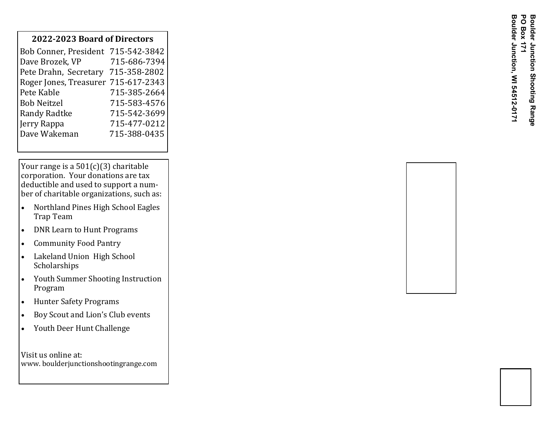## **2022 -2023 Board of Directors**

Your range is a  $501(c)(3)$  charitable corporation. Your donations are tax deductible and used to support a number of charitable organizations, such as:

- Northland Pines High School Eagles Trap Team
- DNR Learn to Hunt Programs
- Community Food Pantry
- Lakeland Union High School Scholarships
- Youth Summer Shooting Instruction Program
- Hunter Safety Programs
- Boy Scout and Lion's Club events
- Youth Deer Hunt Challenge

Visit us online at: www. boulderjunctionshootingrange.com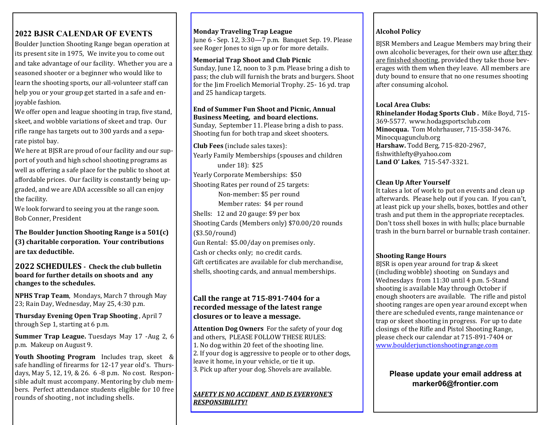## **2022 BJSR CALENDAR OF EVENTS**

Boulder Junction Shooting Range began operation at its present site in 1975, We invite you to come out and take advantage of our facility. Whether you are a seasoned shooter or a beginner who would like to learn the shooting sports, our all-volunteer staff can help you or your group get started in a safe and enjoyable fashion.

We offer open and league shooting in trap, five stand, skeet, and wobble variations of skeet and trap. Our rifle range has targets out to 300 yards and a separate pistol bay.

We here at BJSR are proud of our facility and our support of youth and high school shooting programs as well as offering a safe place for the public to shoot at affordable prices. Our facility is constantly being upgraded, and we are ADA accessible so all can enjoy the facility.

We look forward to seeing you at the range soon. Bob Conner, President

**The Boulder Junction Shooting Range is a 501(c) (3) charitable corporation. Your contributions are tax deductible.**

**2022 SCHEDULES - Check the club bulletin board for further details on shoots and any changes to the schedules.**

**NPHS Trap Team**, Mondays, March 7 through May 23; Rain Day, Wednesday, May 25, 4:30 p.m.

**Thursday Evening Open Trap Shooting** , April 7 through Sep 1, starting at 6 p.m.

**Summer Trap League.** Tuesdays May 17 -Aug 2, 6 p.m. Makeup on August 9.

**Youth Shooting Program** Includes trap, skeet & safe handling of firearms for 12-17 year old's. Thursdays, May 5, 12, 19, & 26. 6 -8 p.m. No cost. Responsible adult must accompany. Mentoring by club members. Perfect attendance students eligible for 10 free rounds of shooting , not including shells.

**Monday Traveling Trap League**

June 6 - Sep. 12, 3:30—7 p.m. Banquet Sep. 19. Please see Roger Jones to sign up or for more details.

**Memorial Trap Shoot and Club Picnic**  Sunday, June 12, noon to 3 p.m. Please bring a dish to pass; the club will furnish the brats and burgers. Shoot for the Jim Froelich Memorial Trophy. 25- 16 yd. trap and 25 handicap targets.

## **End of Summer Fun Shoot and Picnic, Annual Business Meeting, and board elections.**

Sunday, September 11. Please bring a dish to pass. Shooting fun for both trap and skeet shooters.

**Club Fees** (include sales taxes): Yearly Family Memberships (spouses and children under 18): \$25 Yearly Corporate Memberships: \$50 Shooting Rates per round of 25 targets: Non-member: \$5 per round Member rates: \$4 per round Shells: 12 and 20 gauge: \$9 per box Shooting Cards (Members only) \$70.00/20 rounds (\$3.50/round) Gun Rental: \$5.00/day on premises only. Cash or checks only; no credit cards. Gift certificates are available for club merchandise, shells, shooting cards, and annual memberships.

### **Call the range at 715-891-7404 for a recorded message of the latest range closures or to leave a message.**

**Attention Dog Owners** For the safety of your dog and others, PLEASE FOLLOW THESE RULES: 1. No dog within 20 feet of the shooting line. 2. If your dog is aggressive to people or to other dogs, leave it home, in your vehicle, or tie it up. 3. Pick up after your dog. Shovels are available.

*SAFETY IS NO ACCIDENT AND IS EVERYONE'S RESPONSIBILITY!*

### **Alcohol Policy**

BJSR Members and League Members may bring their own alcoholic beverages, for their own use after they are finished shooting, provided they take those beverages with them when they leave. All members are duty bound to ensure that no one resumes shooting after consuming alcohol.

### **Local Area Clubs:**

**Rhinelander Hodag Sports Club .** Mike Boyd, 715- 369-5577. www.hodagsportsclub.com **Minocqua.** Tom Mohrhauser, 715-358-3476. Minocquagunclub.org **Harshaw.** Todd Berg, 715-820-2967, fishwithlefty@yahoo.com **Land O' Lakes**, 715-547-3321.

### **Clean Up After Yourself**

It takes a lot of work to put on events and clean up afterwards. Please help out if you can. If you can't, at least pick up your shells, boxes, bottles and other trash and put them in the appropriate receptacles. Don't toss shell boxes in with hulls; place burnable trash in the burn barrel or burnable trash container.

### **Shooting Range Hours**

BJSR is open year around for trap & skeet (including wobble) shooting on Sundays and Wednesdays from 11:30 until 4 p.m. 5-Stand shooting is available May through October if enough shooters are available. The rifle and pistol shooting ranges are open year around except when there are scheduled events, range maintenance or trap or skeet shooting in progress. For up to date closings of the Rifle and Pistol Shooting Range, please check our calendar at 715-891-7404 or [www.boulderjunctionshootingrange.com](http://www.boulderjunctionshootingrange.com)

## **Please update your email address at marker06@frontier.com**